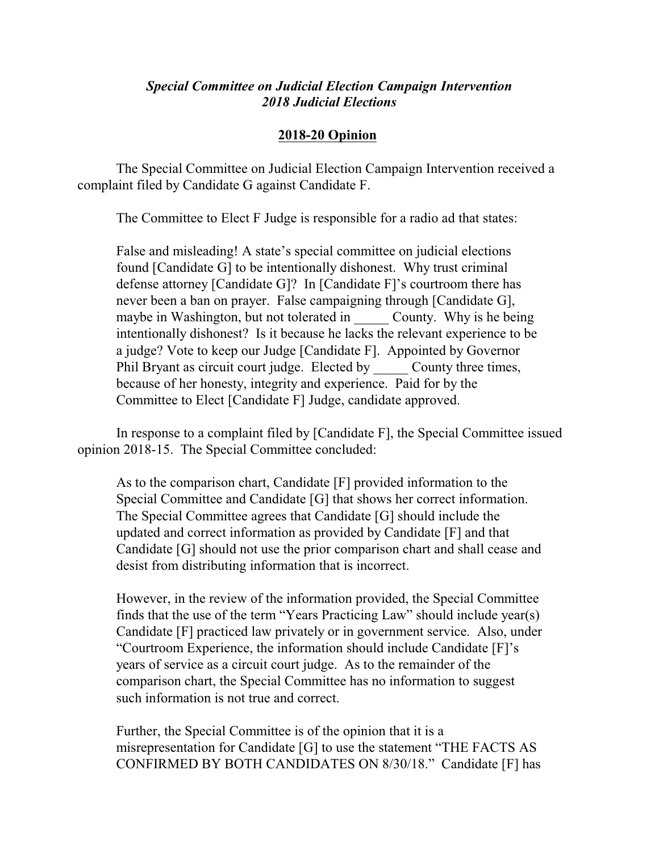## *Special Committee on Judicial Election Campaign Intervention 2018 Judicial Elections*

## **2018-20 Opinion**

The Special Committee on Judicial Election Campaign Intervention received a complaint filed by Candidate G against Candidate F.

The Committee to Elect F Judge is responsible for a radio ad that states:

False and misleading! A state's special committee on judicial elections found [Candidate G] to be intentionally dishonest. Why trust criminal defense attorney [Candidate G]? In [Candidate F]'s courtroom there has never been a ban on prayer. False campaigning through [Candidate G], maybe in Washington, but not tolerated in County. Why is he being intentionally dishonest? Is it because he lacks the relevant experience to be a judge? Vote to keep our Judge [Candidate F]. Appointed by Governor Phil Bryant as circuit court judge. Elected by County three times, because of her honesty, integrity and experience. Paid for by the Committee to Elect [Candidate F] Judge, candidate approved.

In response to a complaint filed by [Candidate F], the Special Committee issued opinion 2018-15. The Special Committee concluded:

As to the comparison chart, Candidate [F] provided information to the Special Committee and Candidate [G] that shows her correct information. The Special Committee agrees that Candidate [G] should include the updated and correct information as provided by Candidate [F] and that Candidate [G] should not use the prior comparison chart and shall cease and desist from distributing information that is incorrect.

However, in the review of the information provided, the Special Committee finds that the use of the term "Years Practicing Law" should include year(s) Candidate [F] practiced law privately or in government service. Also, under "Courtroom Experience, the information should include Candidate [F]'s years of service as a circuit court judge. As to the remainder of the comparison chart, the Special Committee has no information to suggest such information is not true and correct.

Further, the Special Committee is of the opinion that it is a misrepresentation for Candidate [G] to use the statement "THE FACTS AS CONFIRMED BY BOTH CANDIDATES ON 8/30/18." Candidate [F] has